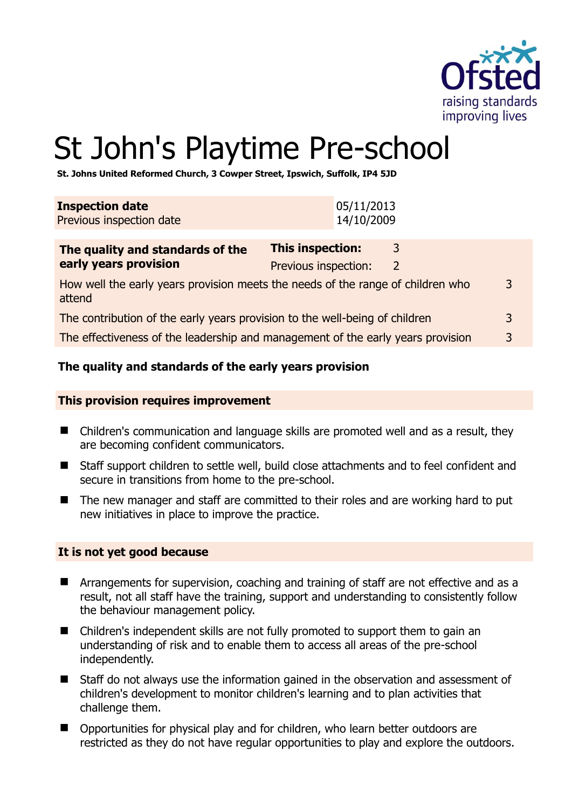

# St John's Playtime Pre-school

**St. Johns United Reformed Church, 3 Cowper Street, Ipswich, Suffolk, IP4 5JD** 

| <b>Inspection date</b><br>Previous inspection date                                                          | 05/11/2013<br>14/10/2009                                              |  |
|-------------------------------------------------------------------------------------------------------------|-----------------------------------------------------------------------|--|
| The quality and standards of the<br>early years provision                                                   | <b>This inspection:</b><br>3<br>Previous inspection:<br>$\mathcal{L}$ |  |
| How well the early years provision meets the needs of the range of children who<br>$\overline{3}$<br>attend |                                                                       |  |
| The contribution of the early years provision to the well-being of children                                 |                                                                       |  |
| The effectiveness of the leadership and management of the early years provision                             |                                                                       |  |

# **The quality and standards of the early years provision**

#### **This provision requires improvement**

- Children's communication and language skills are promoted well and as a result, they are becoming confident communicators.
- Staff support children to settle well, build close attachments and to feel confident and secure in transitions from home to the pre-school.
- The new manager and staff are committed to their roles and are working hard to put new initiatives in place to improve the practice.

#### **It is not yet good because**

- **E** Arrangements for supervision, coaching and training of staff are not effective and as a result, not all staff have the training, support and understanding to consistently follow the behaviour management policy.
- Children's independent skills are not fully promoted to support them to gain an understanding of risk and to enable them to access all areas of the pre-school independently.
- Staff do not always use the information gained in the observation and assessment of children's development to monitor children's learning and to plan activities that challenge them.
- Opportunities for physical play and for children, who learn better outdoors are restricted as they do not have regular opportunities to play and explore the outdoors.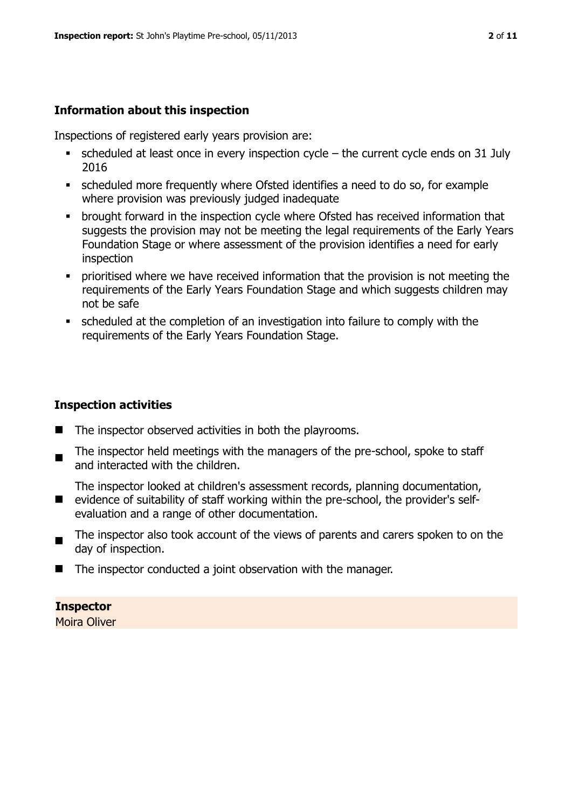#### **Information about this inspection**

Inspections of registered early years provision are:

- $\bullet$  scheduled at least once in every inspection cycle the current cycle ends on 31 July 2016
- scheduled more frequently where Ofsted identifies a need to do so, for example where provision was previously judged inadequate
- **•** brought forward in the inspection cycle where Ofsted has received information that suggests the provision may not be meeting the legal requirements of the Early Years Foundation Stage or where assessment of the provision identifies a need for early inspection
- **•** prioritised where we have received information that the provision is not meeting the requirements of the Early Years Foundation Stage and which suggests children may not be safe
- scheduled at the completion of an investigation into failure to comply with the requirements of the Early Years Foundation Stage.

#### **Inspection activities**

- $\blacksquare$  The inspector observed activities in both the playrooms.
- $\blacksquare$ The inspector held meetings with the managers of the pre-school, spoke to staff and interacted with the children.

■ evidence of suitability of staff working within the pre-school, the provider's self-The inspector looked at children's assessment records, planning documentation, evaluation and a range of other documentation.

- $\blacksquare$ The inspector also took account of the views of parents and carers spoken to on the day of inspection.
- $\blacksquare$  The inspector conducted a joint observation with the manager.

# **Inspector**

Moira Oliver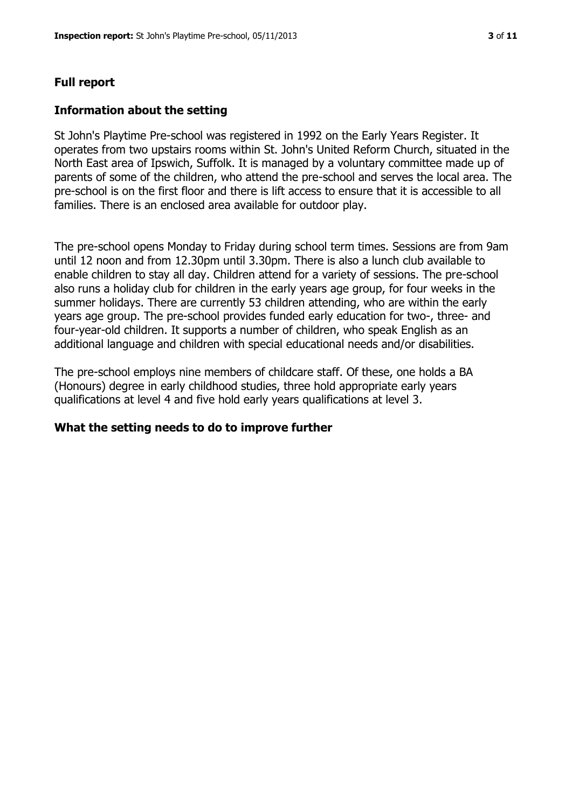#### **Full report**

#### **Information about the setting**

St John's Playtime Pre-school was registered in 1992 on the Early Years Register. It operates from two upstairs rooms within St. John's United Reform Church, situated in the North East area of Ipswich, Suffolk. It is managed by a voluntary committee made up of parents of some of the children, who attend the pre-school and serves the local area. The pre-school is on the first floor and there is lift access to ensure that it is accessible to all families. There is an enclosed area available for outdoor play.

The pre-school opens Monday to Friday during school term times. Sessions are from 9am until 12 noon and from 12.30pm until 3.30pm. There is also a lunch club available to enable children to stay all day. Children attend for a variety of sessions. The pre-school also runs a holiday club for children in the early years age group, for four weeks in the summer holidays. There are currently 53 children attending, who are within the early years age group. The pre-school provides funded early education for two-, three- and four-year-old children. It supports a number of children, who speak English as an additional language and children with special educational needs and/or disabilities.

The pre-school employs nine members of childcare staff. Of these, one holds a BA (Honours) degree in early childhood studies, three hold appropriate early years qualifications at level 4 and five hold early years qualifications at level 3.

#### **What the setting needs to do to improve further**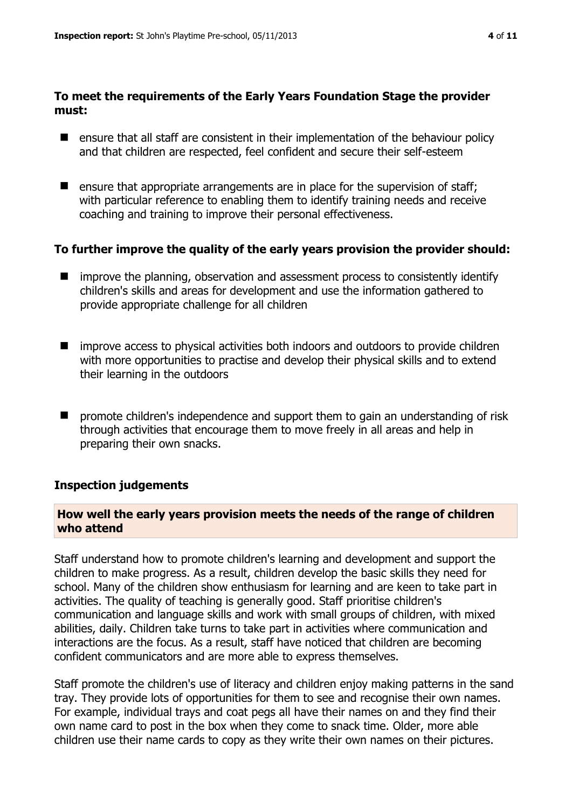# **To meet the requirements of the Early Years Foundation Stage the provider must:**

- ensure that all staff are consistent in their implementation of the behaviour policy and that children are respected, feel confident and secure their self-esteem
- $\blacksquare$  ensure that appropriate arrangements are in place for the supervision of staff; with particular reference to enabling them to identify training needs and receive coaching and training to improve their personal effectiveness.

#### **To further improve the quality of the early years provision the provider should:**

- $\blacksquare$  improve the planning, observation and assessment process to consistently identify children's skills and areas for development and use the information gathered to provide appropriate challenge for all children
- improve access to physical activities both indoors and outdoors to provide children with more opportunities to practise and develop their physical skills and to extend their learning in the outdoors
- $\blacksquare$  promote children's independence and support them to gain an understanding of risk through activities that encourage them to move freely in all areas and help in preparing their own snacks.

#### **Inspection judgements**

# **How well the early years provision meets the needs of the range of children who attend**

Staff understand how to promote children's learning and development and support the children to make progress. As a result, children develop the basic skills they need for school. Many of the children show enthusiasm for learning and are keen to take part in activities. The quality of teaching is generally good. Staff prioritise children's communication and language skills and work with small groups of children, with mixed abilities, daily. Children take turns to take part in activities where communication and interactions are the focus. As a result, staff have noticed that children are becoming confident communicators and are more able to express themselves.

Staff promote the children's use of literacy and children enjoy making patterns in the sand tray. They provide lots of opportunities for them to see and recognise their own names. For example, individual trays and coat pegs all have their names on and they find their own name card to post in the box when they come to snack time. Older, more able children use their name cards to copy as they write their own names on their pictures.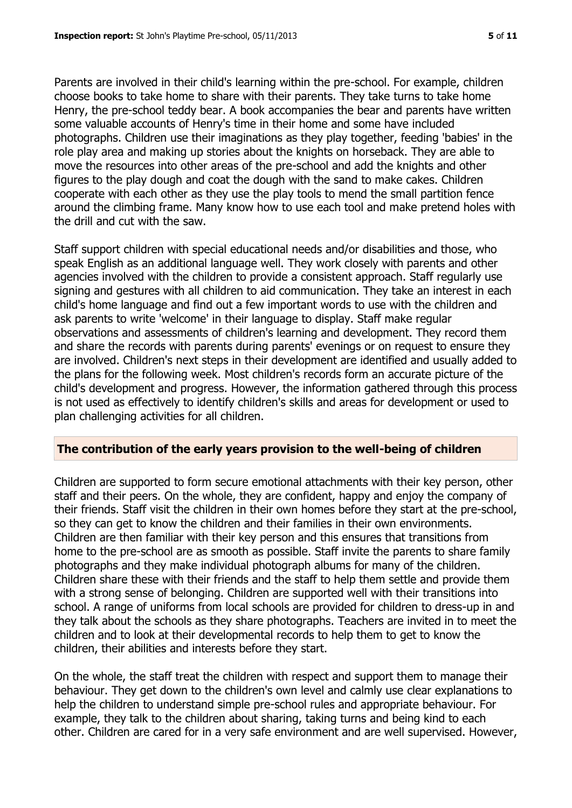Parents are involved in their child's learning within the pre-school. For example, children choose books to take home to share with their parents. They take turns to take home Henry, the pre-school teddy bear. A book accompanies the bear and parents have written some valuable accounts of Henry's time in their home and some have included photographs. Children use their imaginations as they play together, feeding 'babies' in the role play area and making up stories about the knights on horseback. They are able to move the resources into other areas of the pre-school and add the knights and other figures to the play dough and coat the dough with the sand to make cakes. Children cooperate with each other as they use the play tools to mend the small partition fence around the climbing frame. Many know how to use each tool and make pretend holes with the drill and cut with the saw.

Staff support children with special educational needs and/or disabilities and those, who speak English as an additional language well. They work closely with parents and other agencies involved with the children to provide a consistent approach. Staff regularly use signing and gestures with all children to aid communication. They take an interest in each child's home language and find out a few important words to use with the children and ask parents to write 'welcome' in their language to display. Staff make regular observations and assessments of children's learning and development. They record them and share the records with parents during parents' evenings or on request to ensure they are involved. Children's next steps in their development are identified and usually added to the plans for the following week. Most children's records form an accurate picture of the child's development and progress. However, the information gathered through this process is not used as effectively to identify children's skills and areas for development or used to plan challenging activities for all children.

#### **The contribution of the early years provision to the well-being of children**

Children are supported to form secure emotional attachments with their key person, other staff and their peers. On the whole, they are confident, happy and enjoy the company of their friends. Staff visit the children in their own homes before they start at the pre-school, so they can get to know the children and their families in their own environments. Children are then familiar with their key person and this ensures that transitions from home to the pre-school are as smooth as possible. Staff invite the parents to share family photographs and they make individual photograph albums for many of the children. Children share these with their friends and the staff to help them settle and provide them with a strong sense of belonging. Children are supported well with their transitions into school. A range of uniforms from local schools are provided for children to dress-up in and they talk about the schools as they share photographs. Teachers are invited in to meet the children and to look at their developmental records to help them to get to know the children, their abilities and interests before they start.

On the whole, the staff treat the children with respect and support them to manage their behaviour. They get down to the children's own level and calmly use clear explanations to help the children to understand simple pre-school rules and appropriate behaviour. For example, they talk to the children about sharing, taking turns and being kind to each other. Children are cared for in a very safe environment and are well supervised. However,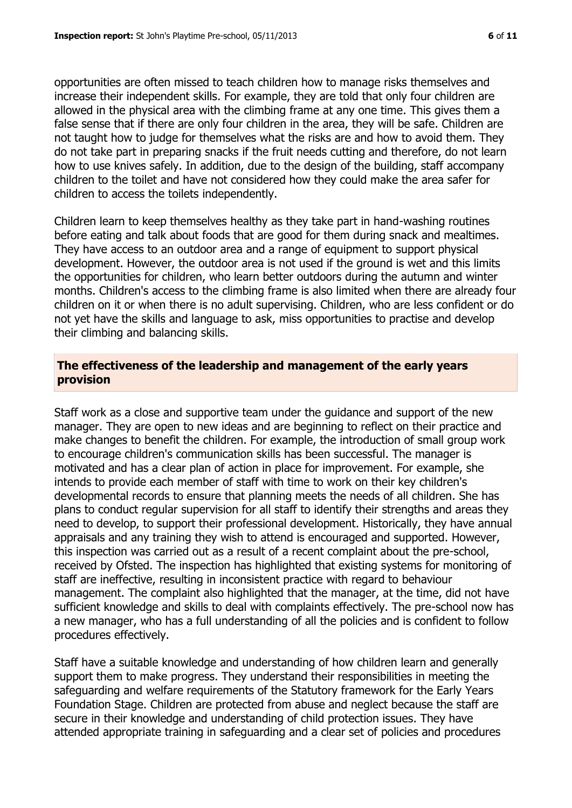opportunities are often missed to teach children how to manage risks themselves and increase their independent skills. For example, they are told that only four children are allowed in the physical area with the climbing frame at any one time. This gives them a false sense that if there are only four children in the area, they will be safe. Children are not taught how to judge for themselves what the risks are and how to avoid them. They do not take part in preparing snacks if the fruit needs cutting and therefore, do not learn how to use knives safely. In addition, due to the design of the building, staff accompany children to the toilet and have not considered how they could make the area safer for children to access the toilets independently.

Children learn to keep themselves healthy as they take part in hand-washing routines before eating and talk about foods that are good for them during snack and mealtimes. They have access to an outdoor area and a range of equipment to support physical development. However, the outdoor area is not used if the ground is wet and this limits the opportunities for children, who learn better outdoors during the autumn and winter months. Children's access to the climbing frame is also limited when there are already four children on it or when there is no adult supervising. Children, who are less confident or do not yet have the skills and language to ask, miss opportunities to practise and develop their climbing and balancing skills.

# **The effectiveness of the leadership and management of the early years provision**

Staff work as a close and supportive team under the guidance and support of the new manager. They are open to new ideas and are beginning to reflect on their practice and make changes to benefit the children. For example, the introduction of small group work to encourage children's communication skills has been successful. The manager is motivated and has a clear plan of action in place for improvement. For example, she intends to provide each member of staff with time to work on their key children's developmental records to ensure that planning meets the needs of all children. She has plans to conduct regular supervision for all staff to identify their strengths and areas they need to develop, to support their professional development. Historically, they have annual appraisals and any training they wish to attend is encouraged and supported. However, this inspection was carried out as a result of a recent complaint about the pre-school, received by Ofsted. The inspection has highlighted that existing systems for monitoring of staff are ineffective, resulting in inconsistent practice with regard to behaviour management. The complaint also highlighted that the manager, at the time, did not have sufficient knowledge and skills to deal with complaints effectively. The pre-school now has a new manager, who has a full understanding of all the policies and is confident to follow procedures effectively.

Staff have a suitable knowledge and understanding of how children learn and generally support them to make progress. They understand their responsibilities in meeting the safeguarding and welfare requirements of the Statutory framework for the Early Years Foundation Stage. Children are protected from abuse and neglect because the staff are secure in their knowledge and understanding of child protection issues. They have attended appropriate training in safeguarding and a clear set of policies and procedures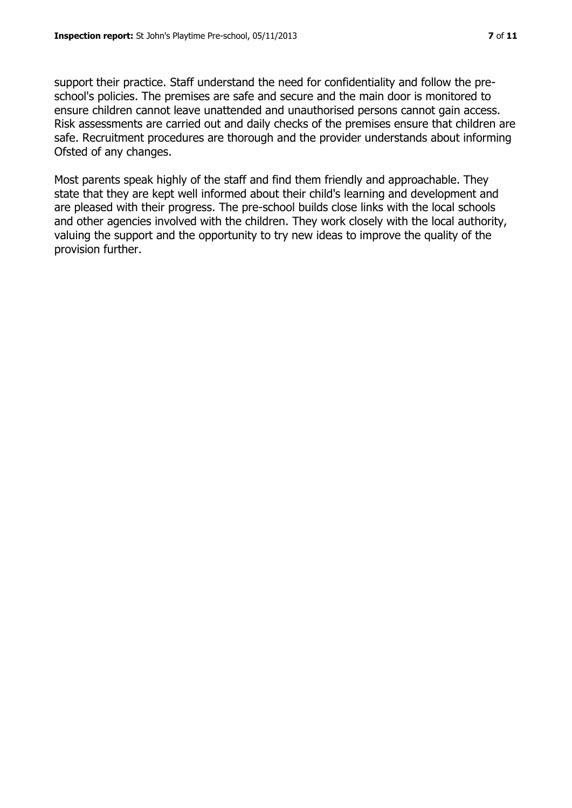support their practice. Staff understand the need for confidentiality and follow the preschool's policies. The premises are safe and secure and the main door is monitored to ensure children cannot leave unattended and unauthorised persons cannot gain access. Risk assessments are carried out and daily checks of the premises ensure that children are safe. Recruitment procedures are thorough and the provider understands about informing Ofsted of any changes.

Most parents speak highly of the staff and find them friendly and approachable. They state that they are kept well informed about their child's learning and development and are pleased with their progress. The pre-school builds close links with the local schools and other agencies involved with the children. They work closely with the local authority, valuing the support and the opportunity to try new ideas to improve the quality of the provision further.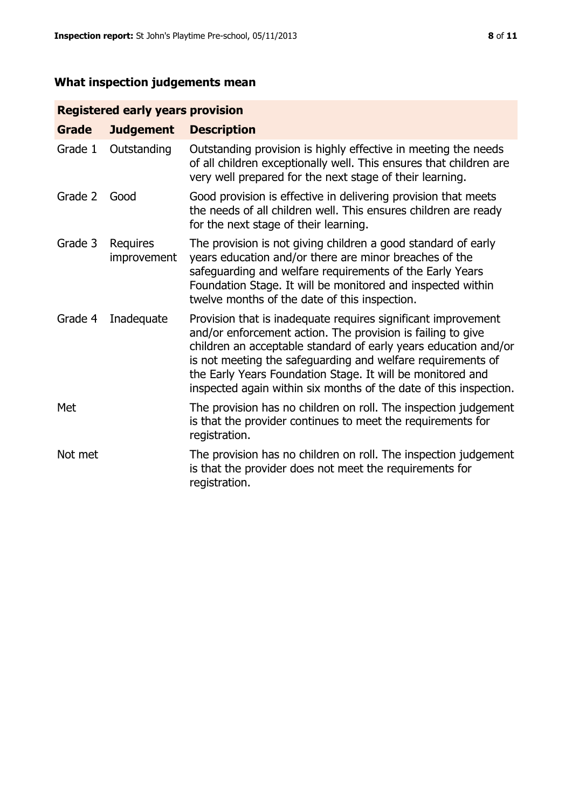# **What inspection judgements mean**

# **Registered early years provision**

| <b>Grade</b> | <b>Judgement</b>        | <b>Description</b>                                                                                                                                                                                                                                                                                                                                                                                |
|--------------|-------------------------|---------------------------------------------------------------------------------------------------------------------------------------------------------------------------------------------------------------------------------------------------------------------------------------------------------------------------------------------------------------------------------------------------|
| Grade 1      | Outstanding             | Outstanding provision is highly effective in meeting the needs<br>of all children exceptionally well. This ensures that children are<br>very well prepared for the next stage of their learning.                                                                                                                                                                                                  |
| Grade 2      | Good                    | Good provision is effective in delivering provision that meets<br>the needs of all children well. This ensures children are ready<br>for the next stage of their learning.                                                                                                                                                                                                                        |
| Grade 3      | Requires<br>improvement | The provision is not giving children a good standard of early<br>years education and/or there are minor breaches of the<br>safeguarding and welfare requirements of the Early Years<br>Foundation Stage. It will be monitored and inspected within<br>twelve months of the date of this inspection.                                                                                               |
| Grade 4      | Inadequate              | Provision that is inadequate requires significant improvement<br>and/or enforcement action. The provision is failing to give<br>children an acceptable standard of early years education and/or<br>is not meeting the safeguarding and welfare requirements of<br>the Early Years Foundation Stage. It will be monitored and<br>inspected again within six months of the date of this inspection. |
| Met          |                         | The provision has no children on roll. The inspection judgement<br>is that the provider continues to meet the requirements for<br>registration.                                                                                                                                                                                                                                                   |
| Not met      |                         | The provision has no children on roll. The inspection judgement<br>is that the provider does not meet the requirements for<br>registration.                                                                                                                                                                                                                                                       |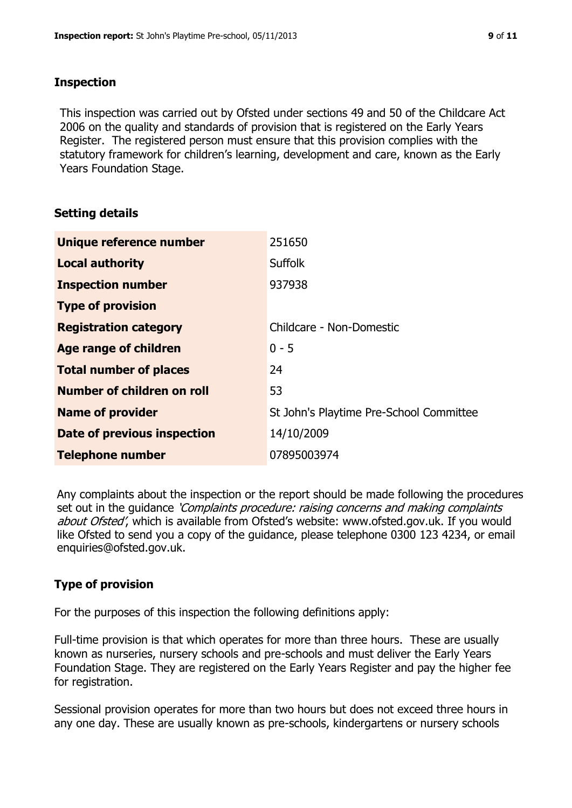# **Inspection**

This inspection was carried out by Ofsted under sections 49 and 50 of the Childcare Act 2006 on the quality and standards of provision that is registered on the Early Years Register. The registered person must ensure that this provision complies with the statutory framework for children's learning, development and care, known as the Early Years Foundation Stage.

# **Setting details**

| Unique reference number            | 251650                                  |
|------------------------------------|-----------------------------------------|
| <b>Local authority</b>             | <b>Suffolk</b>                          |
| <b>Inspection number</b>           | 937938                                  |
| <b>Type of provision</b>           |                                         |
| <b>Registration category</b>       | Childcare - Non-Domestic                |
| Age range of children              | $0 - 5$                                 |
| <b>Total number of places</b>      | 24                                      |
| Number of children on roll         | 53                                      |
| <b>Name of provider</b>            | St John's Playtime Pre-School Committee |
| <b>Date of previous inspection</b> | 14/10/2009                              |
| <b>Telephone number</b>            | 07895003974                             |

Any complaints about the inspection or the report should be made following the procedures set out in the guidance *'Complaints procedure: raising concerns and making complaints* about Ofsted', which is available from Ofsted's website: www.ofsted.gov.uk. If you would like Ofsted to send you a copy of the guidance, please telephone 0300 123 4234, or email enquiries@ofsted.gov.uk.

# **Type of provision**

For the purposes of this inspection the following definitions apply:

Full-time provision is that which operates for more than three hours. These are usually known as nurseries, nursery schools and pre-schools and must deliver the Early Years Foundation Stage. They are registered on the Early Years Register and pay the higher fee for registration.

Sessional provision operates for more than two hours but does not exceed three hours in any one day. These are usually known as pre-schools, kindergartens or nursery schools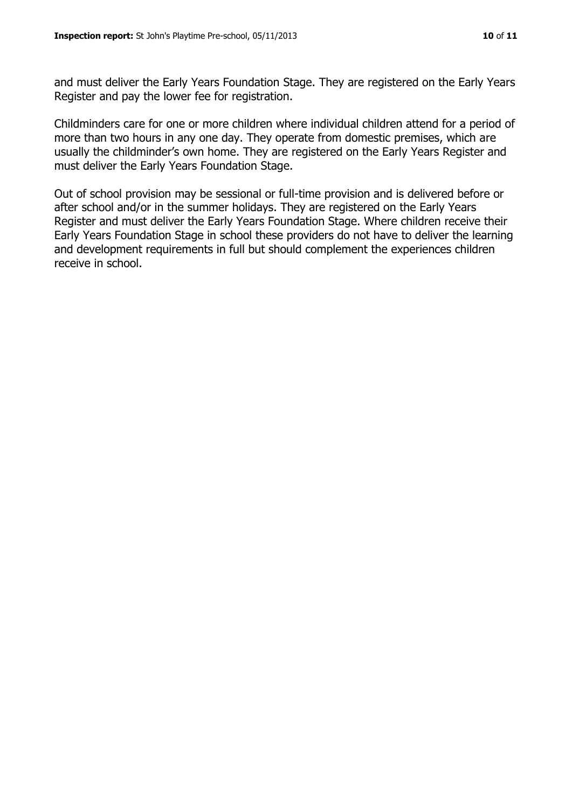and must deliver the Early Years Foundation Stage. They are registered on the Early Years Register and pay the lower fee for registration.

Childminders care for one or more children where individual children attend for a period of more than two hours in any one day. They operate from domestic premises, which are usually the childminder's own home. They are registered on the Early Years Register and must deliver the Early Years Foundation Stage.

Out of school provision may be sessional or full-time provision and is delivered before or after school and/or in the summer holidays. They are registered on the Early Years Register and must deliver the Early Years Foundation Stage. Where children receive their Early Years Foundation Stage in school these providers do not have to deliver the learning and development requirements in full but should complement the experiences children receive in school.